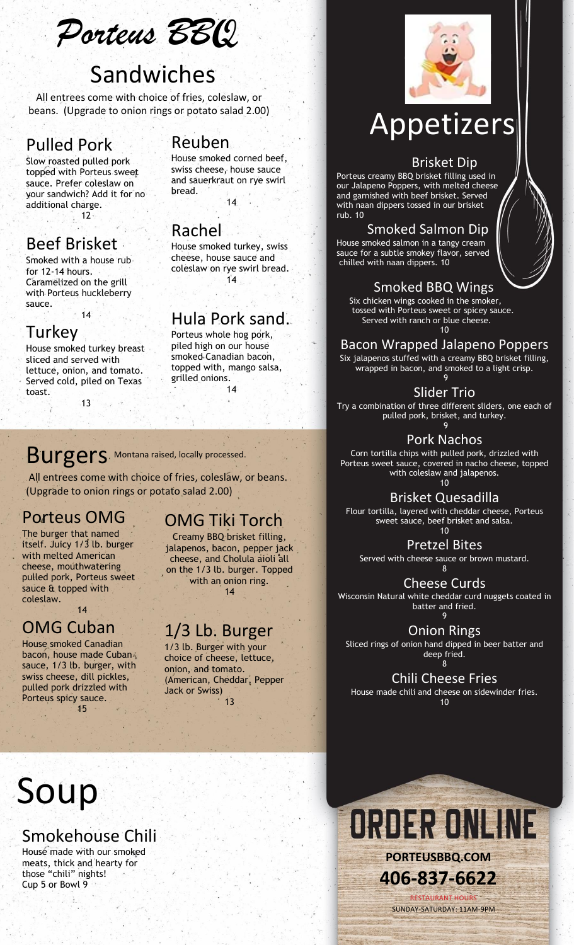*Porteus BB***Q**

# Sandwiches

All entrees come with choice of fries, coleslaw, or beans. (Upgrade to onion rings or potato salad 2.00)

## Pulled Pork

Slow roasted pulled pork topped with Porteus sweet sauce. Prefer coleslaw on your sandwich? Add it for no additional charge.

 $\frac{1}{2}$  12

## Beef Brisket

Smoked with a house rub for 12-14 hours. Caramelized on the grill with Porteus huckleberry sauce.

 $.14$ 

### Turkey

House smoked turkey breast sliced and served with lettuce, onion, and tomato. Served cold, piled on Texas toast.

13

### Reuben

House smoked corned beef, swiss cheese, house sauce and sauerkraut on rye swirl bread.

14

## Rachel

House smoked turkey, swiss cheese, house sauce and coleslaw on rye swirl bread.  $14$ 

### Hula Pork sand.

Porteus whole hog pork, piled high on our house smoked Canadian bacon, topped with, mango salsa,

#### grilled onions. 14

## Burgers. Montana raised, locally processed.

All entrees come with choice of fries, coleslaw, or beans. (Upgrade to onion rings or potato salad 2.00)

## Porteus OMG

The burger that named itself. Juicy 1/3 lb. burger with melted American cheese, mouthwatering pulled pork, Porteus sweet sauce & topped with coleslaw.

 $14$ 

## OMG Cuban

House smoked Canadian bacon, house made Cuban sauce, 1/3 lb. burger, with swiss cheese, dill pickles, pulled pork drizzled with Porteus spicy sauce. 15

## OMG Tiki Torch

Creamy BBQ brisket filling, jalapenos, bacon, pepper jack cheese, and Cholula aioli all on the 1/3 lb. burger. Topped with an onion ring. 14

## 1/3 Lb. Burger

1/3 lb. Burger with your choice of cheese, lettuce, onion, and tomato. (American, Cheddar, Pepper Jack or Swiss) 13



# Appetizers

#### Brisket Dip

Porteus creamy BBQ brisket filling used in our Jalapeno Poppers, with melted cheese and garnished with beef brisket. Served with naan dippers tossed in our brisket rub. 10

#### Smoked Salmon Dip

House smoked salmon in a tangy cream sauce for a subtle smokey flavor, served chilled with naan dippers. 10

## Smoked BBQ Wings

 Six chicken wings cooked in the smoker, tossed with Porteus sweet or spicey sauce. Served with ranch or blue cheese. 10

### Bacon Wrapped Jalapeno Poppers

Six jalapenos stuffed with a creamy BBQ brisket filling, wrapped in bacon, and smoked to a light crisp. 9

Slider Trio

Try a combination of three different sliders, one each of pulled pork, brisket, and turkey. 9

Pork Nachos

Corn tortilla chips with pulled pork, drizzled with Porteus sweet sauce, covered in nacho cheese, topped with coleslaw and jalapenos.  $10$ 

Brisket Quesadilla Flour tortilla, layered with cheddar cheese, Porteus sweet sauce, beef brisket and salsa. 10

Pretzel Bites

Served with cheese sauce or brown mustard. 8

Cheese Curds

Wisconsin Natural white cheddar curd nuggets coated in batter and fried. 9

Onion Rings

Sliced rings of onion hand dipped in beer batter and deep fried. 8

Chili Cheese Fries

House made chili and cheese on sidewinder fries. 10

# Soup

## Smokehouse Chili

House made with our smoked meats, thick and hearty for those "chili" nights! Cup 5 or Bowl 9



SUNDAY-SATURDAY: 11AM-9PM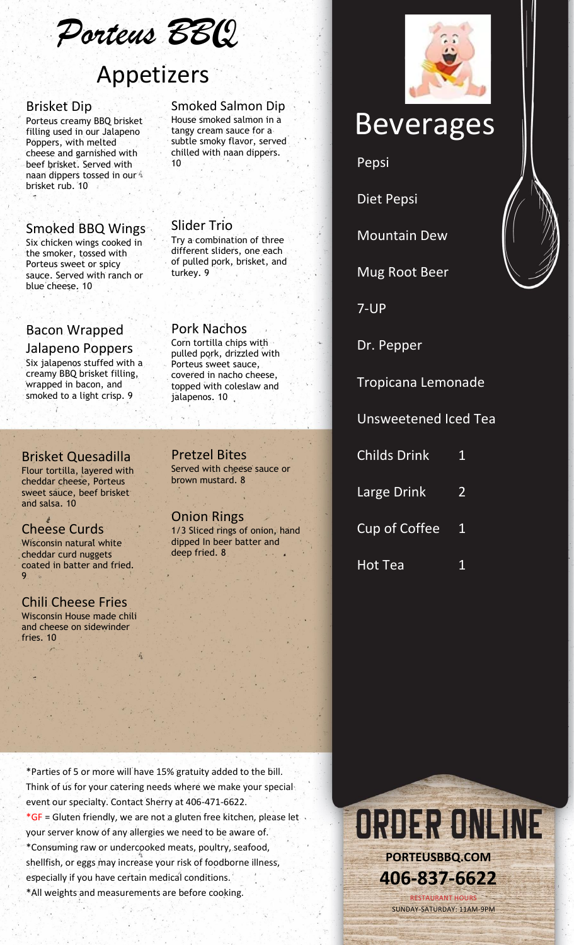*Porteus BB***Q**

# Appetizers

#### Brisket Dip

Porteus creamy BBQ brisket filling used in our Jalapeno Poppers, with melted cheese and garnished with beef brisket. Served with naan dippers tossed in our  $\Lambda$ brisket rub. 10

#### Smoked BBQ Wings

Six chicken wings cooked in the smoker, tossed with Porteus sweet or spicy sauce. Served with ranch or blue cheese. 10

#### Bacon Wrapped

Jalapeno Poppers Six jalapenos stuffed with a creamy BBQ brisket filling, wrapped in bacon, and smoked to a light crisp. 9

#### Brisket Quesadilla

Flour tortilla, layered with cheddar cheese, Porteus sweet sauce, beef brisket and salsa. 10

#### Cheese Curds

Wisconsin natural white cheddar curd nuggets coated in batter and fried. 9

#### Chili Cheese Fries Wisconsin House made chili

and cheese on sidewinder fries. 10

#### Smoked Salmon Dip

House smoked salmon in a tangy cream sauce for a subtle smoky flavor, served chilled with naan dippers. 10

Try a combination of three different sliders, one each of pulled pork, brisket, and

Slider Trio

Pork Nachos Corn tortilla chips with pulled pork, drizzled with Porteus sweet sauce, covered in nacho cheese, topped with coleslaw and

jalapenos. 10

turkey. 9

# Beverages

Pepsi

Diet Pepsi

Mountain Dew

Mug Root Beer

7-UP

Dr. Pepper

Tropicana Lemonade

Unsweetened Iced Tea

| <b>Childs Drink</b> |  |
|---------------------|--|
|                     |  |

Large Drink 2

Cup of Coffee 1

Hot Tea 1

Pretzel Bites Served with cheese sauce or brown mustard. 8

Onion Rings 1/3 Sliced rings of onion, hand dipped In beer batter and deep fried. 8





ORDER ONLINE **PORTEUSBBQ.COM 406-837-6622** RESTAURANT HOURS

SUNDAY-SATURDAY: 11AM-9PM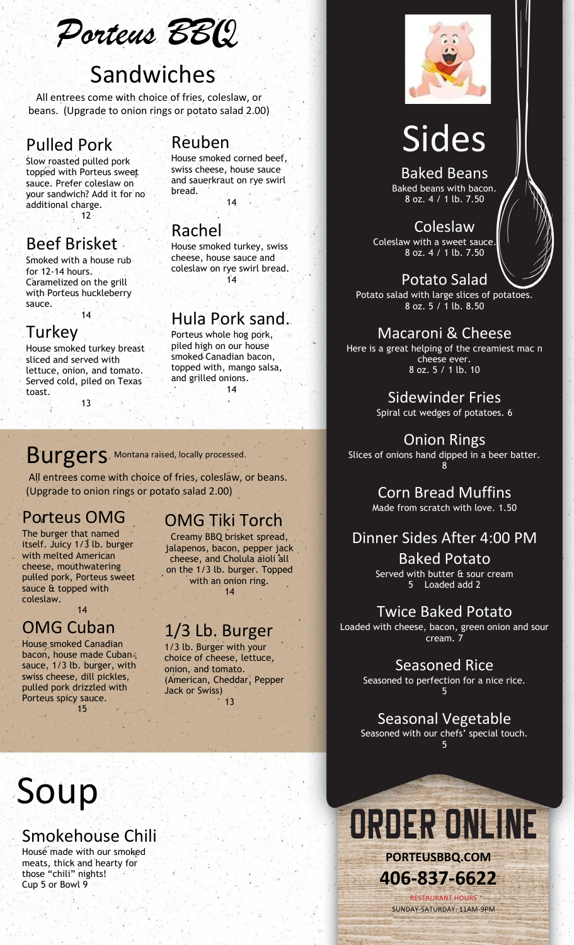*Porteus BB***Q**

# Sandwiches

All entrees come with choice of fries, coleslaw, or beans. (Upgrade to onion rings or potato salad 2.00)

## Pulled Pork

Slow roasted pulled pork topped with Porteus sweet sauce. Prefer coleslaw on your sandwich? Add it for no additional charge.

 $\frac{1}{2}$  12

## Beef Brisket

Smoked with a house rub for 12-14 hours. Caramelized on the grill with Porteus huckleberry sauce.

 $.14$ 

## Turkey

House smoked turkey breast sliced and served with lettuce, onion, and tomato. Served cold, piled on Texas toast.

13

## Reuben

House smoked corned beef, swiss cheese, house sauce and sauerkraut on rye swirl bread.

14

## Rachel

House smoked turkey, swiss cheese, house sauce and coleslaw on rye swirl bread.  $14$ 

## Hula Pork sand.

Porteus whole hog pork, piled high on our house smoked Canadian bacon, topped with, mango salsa, and grilled onions. 14

## Burgers. Montana raised, locally processed.

All entrees come with choice of fries, coleslaw, or beans. (Upgrade to onion rings or potato salad 2.00)

## Porteus OMG

The burger that named itself. Juicy 1/3 lb. burger with melted American cheese, mouthwatering pulled pork, Porteus sweet sauce & topped with coleslaw.

 $14$ 

## OMG Cuban

House smoked Canadian bacon, house made Cuban sauce, 1/3 lb. burger, with swiss cheese, dill pickles, pulled pork drizzled with Porteus spicy sauce. 15

## OMG Tiki Torch

Creamy BBQ brisket spread, jalapenos, bacon, pepper jack cheese, and Cholula aioli all on the 1/3 lb. burger. Topped with an onion ring. 14

## 1/3 Lb. Burger

1/3 lb. Burger with your choice of cheese, lettuce, onion, and tomato. (American, Cheddar, Pepper Jack or Swiss) 13



# Sides

Baked Beans Baked beans with bacon. 8 oz. 4 / 1 lb. 7.50

Coleslaw **Coleslaw with a sweet sauce.** 8 oz. 4 / 1 lb. 7.50

Potato Salad Potato salad with large slices of potatoes. 8 oz. 5 / 1 lb. 8.50

Macaroni & Cheese Here is a great helping of the creamiest mac n cheese ever. 8 oz. 5 / 1 lb. 10

> Sidewinder Fries Spiral cut wedges of potatoes. 6

Onion Rings Slices of onions hand dipped in a beer batter. 8

> Corn Bread Muffins Made from scratch with love. 1.50

## Dinner Sides After 4:00 PM

Baked Potato Served with butter & sour cream 5 Loaded add 2

Twice Baked Potato Loaded with cheese, bacon, green onion and sour cream. 7

> Seasoned Rice Seasoned to perfection for a nice rice. 5

Seasonal Vegetable Seasoned with our chefs' special touch. 5

# Soup

## Smokehouse Chili

House made with our smoked meats, thick and hearty for those "chili" nights! Cup 5 or Bowl 9

ORDER ONLINE **PORTEUSBBQ.COM 406-837-6622** RESTAURANT HOURS

SUNDAY-SATURDAY: 11AM-9PM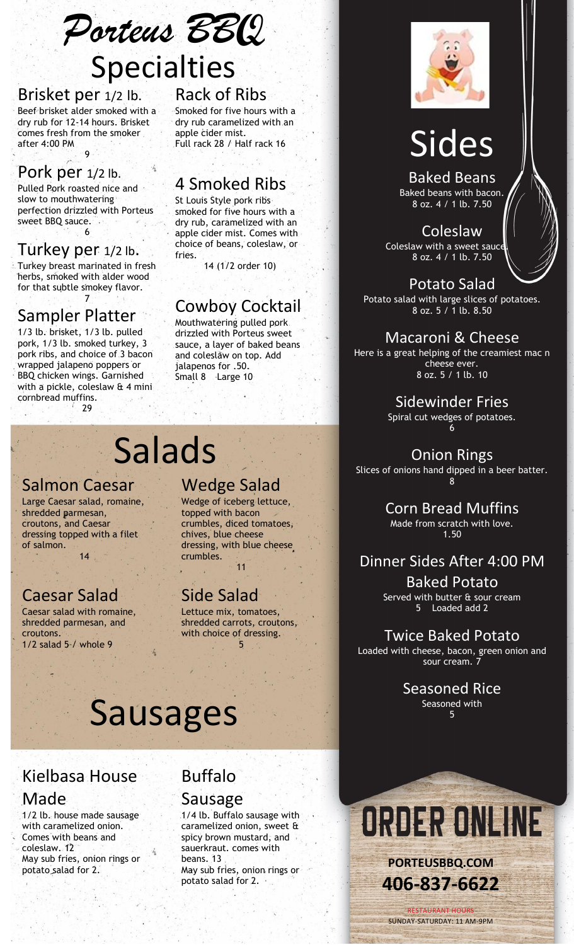*Porteus BB***Q**

# Specialties

#### Brisket per 1/2 lb.

Beef brisket alder smoked with a dry rub for 12-14 hours. Brisket comes fresh from the smoker after 4:00 PM

9

## Pork per 1/2 lb.

Pulled Pork roasted nice and slow to mouthwatering perfection drizzled with Porteus sweet BBQ sauce. 6

## Turkey per 1/2 lb.

Turkey breast marinated in fresh herbs, smoked with alder wood for that subtle smokey flavor. 7

## Sampler Platter

1/3 lb. brisket, 1/3 lb. pulled pork, 1/3 lb. smoked turkey, 3 pork ribs, and choice of 3 bacon wrapped jalapeno poppers or BBQ chicken wings. Garnished with a pickle, coleslaw & 4 mini cornbread muffins.  $29$ 

## Rack of Ribs

Smoked for five hours with a dry rub caramelized with an apple cider mist. Full rack 28 / Half rack 16

## 4 Smoked Ribs

St Louis Style pork ribs smoked for five hours with a dry rub, caramelized with an apple cider mist. Comes with choice of beans, coleslaw, or fries.

14 (1/2 order 10)

## Cowboy Cocktail

Mouthwatering pulled pork drizzled with Porteus sweet sauce, a layer of baked beans and coleslaw on top. Add jalapenos for .50. Small 8 Large 10

# Salads

### Salmon Caesar

Large Caesar salad, romaine, shredded parmesan, croutons, and Caesar dressing topped with a filet of salmon. 14

## Caesar Salad

Caesar salad with romaine, shredded parmesan, and croutons. 1/2 salad 5 / whole 9

## Wedge Salad

Wedge of iceberg lettuce, topped with bacon crumbles, diced tomatoes, chives, blue cheese dressing, with blue cheese crumbles. 11

## Side Salad

Lettuce mix, tomatoes, shredded carrots, croutons, with choice of dressing. 5

# Sausages

## Kielbasa House Made

1/2 lb. house made sausage with caramelized onion. Comes with beans and coleslaw. 12 May sub fries, onion rings or potato salad for 2.

## Buffalo

#### Sausage

1/4 lb. Buffalo sausage with caramelized onion, sweet & spicy brown mustard, and sauerkraut. comes with beans. 13 May sub fries, onion rings or potato salad for 2.



# Sides

Baked Beans Baked beans with bacon. 8 oz. 4 / 1 lb. 7.50

Coleslaw Coleslaw with a sweet sauce 8 oz. 4 / 1 lb. 7.50

Potato Salad Potato salad with large slices of potatoes. 8 oz. 5 / 1 lb. 8.50

#### Macaroni & Cheese Here is a great helping of the creamiest mac n cheese ever.

8 oz. 5 / 1 lb. 10

Sidewinder Fries Spiral cut wedges of potatoes. 6

### Onion Rings

Slices of onions hand dipped in a beer batter. 8

> Corn Bread Muffins Made from scratch with love. 1.50

## Dinner Sides After 4:00 PM

Baked Potato Served with butter & sour cream 5 Loaded add 2

## Twice Baked Potato

Loaded with cheese, bacon, green onion and sour cream. 7

> Seasoned Rice Seasoned with 5



RESTAURANT HOUR SUNDAY-SATURDAY: 11 AM-9PM